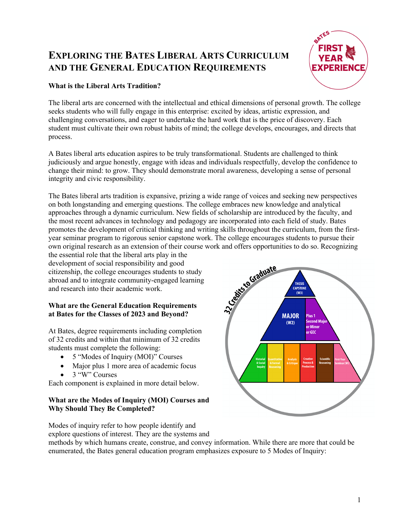# **EXPLORING THE BATES LIBERAL ARTS CURRICULUM AND THE GENERAL EDUCATION REQUIREMENTS**



## **What is the Liberal Arts Tradition?**

The liberal arts are concerned with the intellectual and ethical dimensions of personal growth. The college seeks students who will fully engage in this enterprise: excited by ideas, artistic expression, and challenging conversations, and eager to undertake the hard work that is the price of discovery. Each student must cultivate their own robust habits of mind; the college develops, encourages, and directs that process.

A Bates liberal arts education aspires to be truly transformational. Students are challenged to think judiciously and argue honestly, engage with ideas and individuals respectfully, develop the confidence to change their mind: to grow. They should demonstrate moral awareness, developing a sense of personal integrity and civic responsibility.

The Bates liberal arts tradition is expansive, prizing a wide range of voices and seeking new perspectives on both longstanding and emerging questions. The college embraces new knowledge and analytical approaches through a dynamic curriculum. New fields of scholarship are introduced by the faculty, and the most recent advances in technology and pedagogy are incorporated into each field of study. Bates promotes the development of critical thinking and writing skills throughout the curriculum, from the firstyear seminar program to rigorous senior capstone work. The college encourages students to pursue their

the essential role that the liberal arts play in the development of social responsibility and good citizenship, the college encourages students to study abroad and to integrate community-engaged learning and research into their academic work.

## **What are the General Education Requirements at Bates for the Classes of 2023 and Beyond?**

At Bates, degree requirements including completion of 32 credits and within that minimum of 32 credits students must complete the following:

- 5 "Modes of Inquiry (MOI)" Courses
- Major plus 1 more area of academic focus • 3 "W" Courses

Each component is explained in more detail below.

## **What are the Modes of Inquiry (MOI) Courses and Why Should They Be Completed?**

Modes of inquiry refer to how people identify and explore questions of interest. They are the systems and

own original research as an extension of their course work and offers opportunities to do so. Recognizing<br>the essential role that the liberal arts play in the<br>development of social responsibility and good<br>citizenship, the **THESIS CAPSTONE**  $(W3)$ **MAJOR** Plus 1  $(W2)$ Second Mai or Minor or GEC

methods by which humans create, construe, and convey information. While there are more that could be enumerated, the Bates general education program emphasizes exposure to 5 Modes of Inquiry: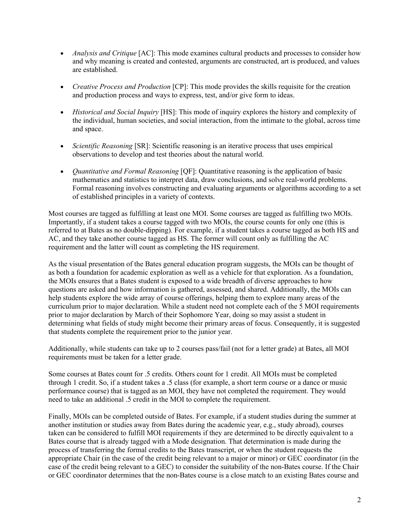- *Analysis and Critique* [AC]: This mode examines cultural products and processes to consider how and why meaning is created and contested, arguments are constructed, art is produced, and values are established.
- *Creative Process and Production* [CP]: This mode provides the skills requisite for the creation and production process and ways to express, test, and/or give form to ideas.
- *Historical and Social Inquiry* [HS]: This mode of inquiry explores the history and complexity of the individual, human societies, and social interaction, from the intimate to the global, across time and space.
- *Scientific Reasoning* [SR]: Scientific reasoning is an iterative process that uses empirical observations to develop and test theories about the natural world.
- *Quantitative and Formal Reasoning* [QF]: Quantitative reasoning is the application of basic mathematics and statistics to interpret data, draw conclusions, and solve real-world problems. Formal reasoning involves constructing and evaluating arguments or algorithms according to a set of established principles in a variety of contexts.

Most courses are tagged as fulfilling at least one MOI. Some courses are tagged as fulfilling two MOIs. Importantly, if a student takes a course tagged with two MOIs, the course counts for only one (this is referred to at Bates as no double-dipping). For example, if a student takes a course tagged as both HS and AC, and they take another course tagged as HS. The former will count only as fulfilling the AC requirement and the latter will count as completing the HS requirement.

As the visual presentation of the Bates general education program suggests, the MOIs can be thought of as both a foundation for academic exploration as well as a vehicle for that exploration. As a foundation, the MOIs ensures that a Bates student is exposed to a wide breadth of diverse approaches to how questions are asked and how information is gathered, assessed, and shared. Additionally, the MOIs can help students explore the wide array of course offerings, helping them to explore many areas of the curriculum prior to major declaration. While a student need not complete each of the 5 MOI requirements prior to major declaration by March of their Sophomore Year, doing so may assist a student in determining what fields of study might become their primary areas of focus. Consequently, it is suggested that students complete the requirement prior to the junior year.

Additionally, while students can take up to 2 courses pass/fail (not for a letter grade) at Bates, all MOI requirements must be taken for a letter grade.

Some courses at Bates count for .5 credits. Others count for 1 credit. All MOIs must be completed through 1 credit. So, if a student takes a .5 class (for example, a short term course or a dance or music performance course) that is tagged as an MOI, they have not completed the requirement. They would need to take an additional .5 credit in the MOI to complete the requirement.

Finally, MOIs can be completed outside of Bates. For example, if a student studies during the summer at another institution or studies away from Bates during the academic year, e.g., study abroad), courses taken can be considered to fulfill MOI requirements if they are determined to be directly equivalent to a Bates course that is already tagged with a Mode designation. That determination is made during the process of transferring the formal credits to the Bates transcript, or when the student requests the appropriate Chair (in the case of the credit being relevant to a major or minor) or GEC coordinator (in the case of the credit being relevant to a GEC) to consider the suitability of the non-Bates course. If the Chair or GEC coordinator determines that the non-Bates course is a close match to an existing Bates course and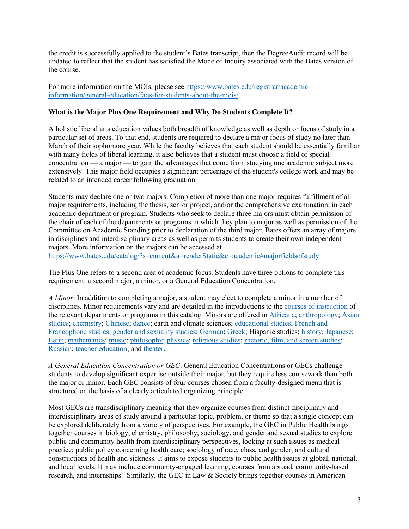the credit is successfully applied to the student's Bates transcript, then the DegreeAudit record will be updated to reflect that the student has satisfied the Mode of Inquiry associated with the Bates version of the course.

For more information on the MOIs, please see https://www.bates.edu/registrar/academicinformation/general-education/faqs-for-students-about-the-mois/

#### **What is the Major Plus One Requirement and Why Do Students Complete It?**

A holistic liberal arts education values both breadth of knowledge as well as depth or focus of study in a particular set of areas. To that end, students are required to declare a major focus of study no later than March of their sophomore year. While the faculty believes that each student should be essentially familiar with many fields of liberal learning, it also believes that a student must choose a field of special concentration — a major — to gain the advantages that come from studying one academic subject more extensively. This major field occupies a significant percentage of the student's college work and may be related to an intended career following graduation.

Students may declare one or two majors. Completion of more than one major requires fulfillment of all major requirements, including the thesis, senior project, and/or the comprehensive examination, in each academic department or program. Students who seek to declare three majors must obtain permission of the chair of each of the departments or programs in which they plan to major as well as permission of the Committee on Academic Standing prior to declaration of the third major. Bates offers an array of majors in disciplines and interdisciplinary areas as well as permits students to create their own independent majors. More information on the majors can be accessed at https://www.bates.edu/catalog/?s=current&a=renderStatic&c=academic#majorfieldsofstudy

The Plus One refers to a second area of academic focus. Students have three options to complete this requirement: a second major, a minor, or a General Education Concentration.

*A Minor*: In addition to completing a major, a student may elect to complete a minor in a number of disciplines. Minor requirements vary and are detailed in the introductions to the courses of instruction of the relevant departments or programs in this catalog. Minors are offered in Africana; anthropology; Asian studies; chemistry; Chinese; dance; earth and climate sciences; educational studies; French and Francophone studies; gender and sexuality studies; German; Greek; Hispanic studies; history; Japanese; Latin; mathematics; music; philosophy; physics; religious studies; rhetoric, film, and screen studies; Russian; teacher education; and theater.

*A General Education Concentration or GEC*: General Education Concentrations or GECs challenge students to develop significant expertise outside their major, but they require less coursework than both the major or minor. Each GEC consists of four courses chosen from a faculty-designed menu that is structured on the basis of a clearly articulated organizing principle.

Most GECs are transdisciplinary meaning that they organize courses from distinct disciplinary and interdisciplinary areas of study around a particular topic, problem, or theme so that a single concept can be explored deliberately from a variety of perspectives. For example, the GEC in Public Health brings together courses in biology, chemistry, philosophy, sociology, and gender and sexual studies to explore public and community health from interdisciplinary perspectives, looking at such issues as medical practice; public policy concerning health care; sociology of race, class, and gender; and cultural constructions of health and sickness. It aims to expose students to public health issues at global, national, and local levels. It may include community-engaged learning, courses from abroad, community-based research, and internships. Similarly, the GEC in Law & Society brings together courses in American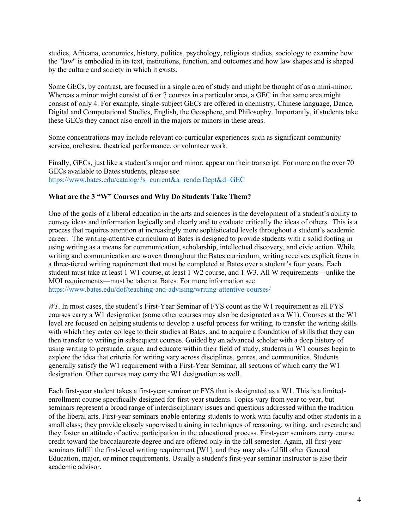studies, Africana, economics, history, politics, psychology, religious studies, sociology to examine how the "law" is embodied in its text, institutions, function, and outcomes and how law shapes and is shaped by the culture and society in which it exists.

Some GECs, by contrast, are focused in a single area of study and might be thought of as a mini-minor. Whereas a minor might consist of 6 or 7 courses in a particular area, a GEC in that same area might consist of only 4. For example, single-subject GECs are offered in chemistry, Chinese language, Dance, Digital and Computational Studies, English, the Geosphere, and Philosophy. Importantly, if students take these GECs they cannot also enroll in the majors or minors in these areas.

Some concentrations may include relevant co-curricular experiences such as significant community service, orchestra, theatrical performance, or volunteer work.

Finally, GECs, just like a student's major and minor, appear on their transcript. For more on the over 70 GECs available to Bates students, please see https://www.bates.edu/catalog/?s=current&a=renderDept&d=GEC

#### **What are the 3 "W" Courses and Why Do Students Take Them?**

One of the goals of a liberal education in the arts and sciences is the development of a student's ability to convey ideas and information logically and clearly and to evaluate critically the ideas of others. This is a process that requires attention at increasingly more sophisticated levels throughout a student's academic career. The writing-attentive curriculum at Bates is designed to provide students with a solid footing in using writing as a means for communication, scholarship, intellectual discovery, and civic action. While writing and communication are woven throughout the Bates curriculum, writing receives explicit focus in a three-tiered writing requirement that must be completed at Bates over a student's four years. Each student must take at least 1 W1 course, at least 1 W2 course, and 1 W3. All W requirements—unlike the MOI requirements—must be taken at Bates. For more information see https://www.bates.edu/dof/teaching-and-advising/writing-attentive-courses/

*W1*. In most cases, the student's First-Year Seminar of FYS count as the W1 requirement as all FYS courses carry a W1 designation (some other courses may also be designated as a W1). Courses at the W1 level are focused on helping students to develop a useful process for writing, to transfer the writing skills with which they enter college to their studies at Bates, and to acquire a foundation of skills that they can then transfer to writing in subsequent courses. Guided by an advanced scholar with a deep history of using writing to persuade, argue, and educate within their field of study, students in W1 courses begin to explore the idea that criteria for writing vary across disciplines, genres, and communities. Students generally satisfy the W1 requirement with a First-Year Seminar, all sections of which carry the W1 designation. Other courses may carry the W1 designation as well.

Each first-year student takes a first-year seminar or FYS that is designated as a W1. This is a limitedenrollment course specifically designed for first-year students. Topics vary from year to year, but seminars represent a broad range of interdisciplinary issues and questions addressed within the tradition of the liberal arts. First-year seminars enable entering students to work with faculty and other students in a small class; they provide closely supervised training in techniques of reasoning, writing, and research; and they foster an attitude of active participation in the educational process. First-year seminars carry course credit toward the baccalaureate degree and are offered only in the fall semester. Again, all first-year seminars fulfill the first-level writing requirement [W1], and they may also fulfill other General Education, major, or minor requirements. Usually a student's first-year seminar instructor is also their academic advisor.